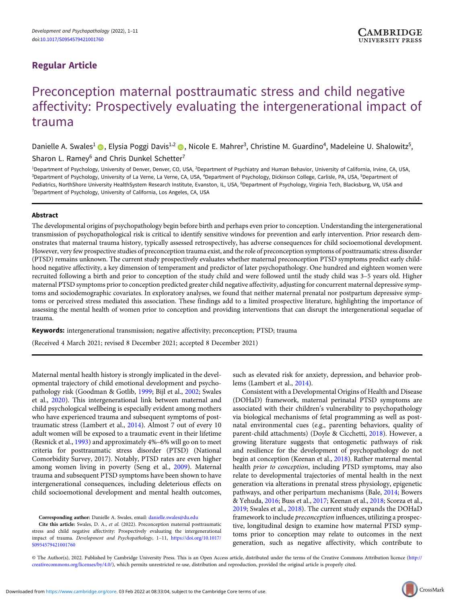# Regular Article

# Preconception maternal posttraumatic stress and child negative affectivity: Prospectively evaluating the intergenerational impact of trauma

Danielle A. Swales<sup>1</sup> (D. Elysia Poggi Davis<sup>1,2</sup> (D. Nicole E. Mahrer<sup>3</sup>, Christine M. Guardino<sup>4</sup>, Madeleine U. Shalowitz<sup>5</sup>,

Sharon L. Ramey<sup>6</sup> and Chris Dunkel Schetter<sup>7</sup>

<sup>1</sup>Department of Psychology, University of Denver, Denver, CO, USA, <sup>2</sup>Department of Psychiatry and Human Behavior, University of California, Irvine, CA, USA, <sup>3</sup>Department of Psychology, University of La Verne, La Verne, CA, USA, <sup>4</sup>Department of Psychology, Dickinson College, Carlisle, PA, USA, <sup>5</sup>Department of Pediatrics, NorthShore University HealthSystem Research Institute, Evanston, IL, USA, <sup>6</sup>Department of Psychology, Virginia Tech, Blacksburg, VA, USA and 7 Department of Psychology, University of California, Los Angeles, CA, USA

# Abstract

The developmental origins of psychopathology begin before birth and perhaps even prior to conception. Understanding the intergenerational transmission of psychopathological risk is critical to identify sensitive windows for prevention and early intervention. Prior research demonstrates that maternal trauma history, typically assessed retrospectively, has adverse consequences for child socioemotional development. However, very few prospective studies of preconception trauma exist, and the role of preconception symptoms of posttraumatic stress disorder (PTSD) remains unknown. The current study prospectively evaluates whether maternal preconception PTSD symptoms predict early childhood negative affectivity, a key dimension of temperament and predictor of later psychopathology. One hundred and eighteen women were recruited following a birth and prior to conception of the study child and were followed until the study child was 3–5 years old. Higher maternal PTSD symptoms prior to conception predicted greater child negative affectivity, adjusting for concurrent maternal depressive symptoms and sociodemographic covariates. In exploratory analyses, we found that neither maternal prenatal nor postpartum depressive symptoms or perceived stress mediated this association. These findings add to a limited prospective literature, highlighting the importance of assessing the mental health of women prior to conception and providing interventions that can disrupt the intergenerational sequelae of trauma.

Keywords: intergenerational transmission; negative affectivity; preconception; PTSD; trauma

(Received 4 March 2021; revised 8 December 2021; accepted 8 December 2021)

Maternal mental health history is strongly implicated in the developmental trajectory of child emotional development and psychopathology risk (Goodman & Gotlib, [1999;](#page-8-0) Bijl et al., [2002](#page-7-0); Swales et al., [2020\)](#page-10-0). This intergenerational link between maternal and child psychological wellbeing is especially evident among mothers who have experienced trauma and subsequent symptoms of posttraumatic stress (Lambert et al., [2014\)](#page-9-0). Almost 7 out of every 10 adult women will be exposed to a traumatic event in their lifetime (Resnick et al., [1993](#page-9-0)) and approximately 4%–6% will go on to meet criteria for posttraumatic stress disorder (PTSD) (National Comorbidity Survey, 2017). Notably, PTSD rates are even higher among women living in poverty (Seng et al., [2009\)](#page-10-0). Maternal trauma and subsequent PTSD symptoms have been shown to have intergenerational consequences, including deleterious effects on child socioemotional development and mental health outcomes,

such as elevated risk for anxiety, depression, and behavior problems (Lambert et al., [2014\)](#page-9-0).

Consistent with a Developmental Origins of Health and Disease (DOHaD) framework, maternal perinatal PTSD symptoms are associated with their children's vulnerability to psychopathology via biological mechanisms of fetal programming as well as postnatal environmental cues (e.g., parenting behaviors, quality of parent-child attachments) (Doyle & Cicchetti, [2018](#page-8-0)). However, a growing literature suggests that ontogenetic pathways of risk and resilience for the development of psychopathology do not begin at conception (Keenan et al., [2018](#page-9-0)). Rather maternal mental health prior to conception, including PTSD symptoms, may also relate to developmental trajectories of mental health in the next generation via alterations in prenatal stress physiology, epigenetic pathways, and other peripartum mechanisms (Bale, [2014;](#page-7-0) Bowers & Yehuda, [2016](#page-8-0); Buss et al., [2017;](#page-8-0) Keenan et al., [2018](#page-9-0); Scorza et al., [2019](#page-10-0); Swales et al., [2018\)](#page-10-0). The current study expands the DOHaD framework to include preconception influences, utilizing a prospective, longitudinal design to examine how maternal PTSD symptoms prior to conception may relate to outcomes in the next generation, such as negative affectivity, which contribute to

© The Author(s), 2022. Published by Cambridge University Press. This is an Open Access article, distributed under the terms of the Creative Commons Attribution licence [\(http://](http://creativecommons.org/licenses/by/4.0/) [creativecommons.org/licenses/by/4.0/](http://creativecommons.org/licenses/by/4.0/)), which permits unrestricted re-use, distribution and reproduction, provided the original article is properly cited.

Corresponding author: Danielle A. Swales, email: [danielle.swales@du.edu](mailto:danielle.swales@du.edu)

Cite this article: Swales, D. A., et al. (2022). Preconception maternal posttraumatic stress and child negative affectivity: Prospectively evaluating the intergenerational impact of trauma. Development and Psychopathology, 1–11, [https://doi.org/10.1017/](https://doi.org/10.1017/S0954579421001760) [S0954579421001760](https://doi.org/10.1017/S0954579421001760)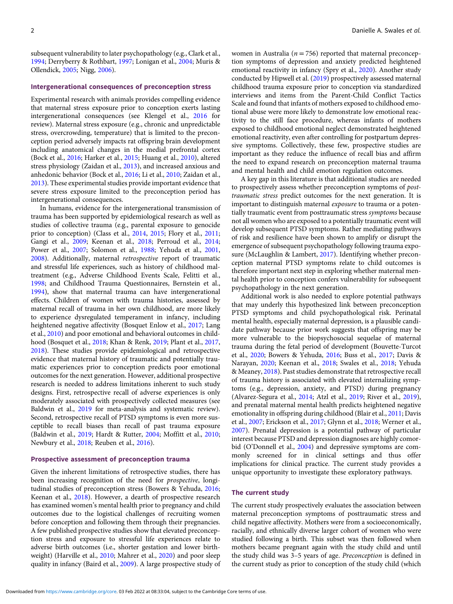subsequent vulnerability to later psychopathology (e.g., Clark et al., [1994;](#page-8-0) Derryberry & Rothbart, [1997;](#page-8-0) Lonigan et al., [2004;](#page-9-0) Muris & Ollendick, [2005;](#page-9-0) Nigg, [2006\)](#page-9-0).

#### Intergenerational consequences of preconception stress

Experimental research with animals provides compelling evidence that maternal stress exposure prior to conception exerts lasting intergenerational consequences (see Klengel et al., [2016](#page-9-0) for review). Maternal stress exposure (e.g., chronic and unpredictable stress, overcrowding, temperature) that is limited to the preconception period adversely impacts rat offspring brain development including anatomical changes in the medial prefrontal cortex (Bock et al., [2016](#page-7-0); Harker et al., [2015;](#page-8-0) Huang et al., [2010\)](#page-8-0), altered stress physiology (Zaidan et al., [2013](#page-10-0)), and increased anxious and anhedonic behavior (Bock et al., [2016](#page-7-0); Li et al., [2010;](#page-9-0) Zaidan et al., [2013\)](#page-10-0). These experimental studies provide important evidence that severe stress exposure limited to the preconception period has intergenerational consequences.

In humans, evidence for the intergenerational transmission of trauma has been supported by epidemiological research as well as studies of collective trauma (e.g., parental exposure to genocide prior to conception) (Class et al., [2014](#page-8-0), [2015;](#page-8-0) Flory et al., [2011](#page-8-0); Gangi et al., [2009;](#page-8-0) Keenan et al., [2018](#page-9-0); Perroud et al., [2014](#page-9-0); Power et al., [2007](#page-9-0); Solomon et al., [1988;](#page-10-0) Yehuda et al., [2001](#page-10-0), [2008\)](#page-10-0). Additionally, maternal retrospective report of traumatic and stressful life experiences, such as history of childhood maltreatment (e.g., Adverse Childhood Events Scale, Felitti et al., [1998;](#page-8-0) and Childhood Trauma Questionnaires, Bernstein et al., [1994\)](#page-7-0), show that maternal trauma can have intergenerational effects. Children of women with trauma histories, assessed by maternal recall of trauma in her own childhood, are more likely to experience dysregulated temperament in infancy, including heightened negative affectivity (Bosquet Enlow et al., [2017;](#page-7-0) Lang et al., [2010](#page-9-0)) and poor emotional and behavioral outcomes in childhood (Bosquet et al., [2018;](#page-8-0) Khan & Renk, [2019](#page-9-0); Plant et al., [2017](#page-9-0), [2018\)](#page-9-0). These studies provide epidemiological and retrospective evidence that maternal history of traumatic and potentially traumatic experiences prior to conception predicts poor emotional outcomes for the next generation. However, additional prospective research is needed to address limitations inherent to such study designs. First, retrospective recall of adverse experiences is only moderately associated with prospectively collected measures (see Baldwin et al., [2019](#page-7-0) for meta-analysis and systematic review). Second, retrospective recall of PTSD symptoms is even more susceptible to recall biases than recall of past trauma exposure (Baldwin et al., [2019;](#page-7-0) Hardt & Rutter, [2004](#page-8-0); Moffitt et al., [2010](#page-9-0); Newbury et al., [2018;](#page-9-0) Reuben et al., [2016\)](#page-9-0).

# Prospective assessment of preconception trauma

Given the inherent limitations of retrospective studies, there has been increasing recognition of the need for prospective, longitudinal studies of preconception stress (Bowers & Yehuda, [2016](#page-8-0); Keenan et al., [2018\)](#page-9-0). However, a dearth of prospective research has examined women's mental health prior to pregnancy and child outcomes due to the logistical challenges of recruiting women before conception and following them through their pregnancies. A few published prospective studies show that elevated preconception stress and exposure to stressful life experiences relate to adverse birth outcomes (i.e., shorter gestation and lower birthweight) (Harville et al., [2010](#page-8-0); Mahrer et al., [2020\)](#page-9-0) and poor sleep quality in infancy (Baird et al., [2009](#page-7-0)). A large prospective study of women in Australia ( $n = 756$ ) reported that maternal preconception symptoms of depression and anxiety predicted heightened emotional reactivity in infancy (Spry et al., [2020\)](#page-10-0). Another study conducted by Hipwell et al. [\(2019\)](#page-8-0) prospectively assessed maternal childhood trauma exposure prior to conception via standardized interviews and items from the Parent-Child Conflict Tactics Scale and found that infants of mothers exposed to childhood emotional abuse were more likely to demonstrate low emotional reactivity to the still face procedure, whereas infants of mothers exposed to childhood emotional neglect demonstrated heightened emotional reactivity, even after controlling for postpartum depressive symptoms. Collectively, these few, prospective studies are important as they reduce the influence of recall bias and affirm the need to expand research on preconception maternal trauma and mental health and child emotion regulation outcomes.

A key gap in this literature is that additional studies are needed to prospectively assess whether preconception symptoms of posttraumatic stress predict outcomes for the next generation. It is important to distinguish maternal exposure to trauma or a potentially traumatic event from posttraumatic stress symptoms because not all women who are exposed to a potentially traumatic event will develop subsequent PTSD symptoms. Rather mediating pathways of risk and resilience have been shown to amplify or disrupt the emergence of subsequent psychopathology following trauma exposure (McLaughlin & Lambert, [2017\)](#page-9-0). Identifying whether preconception maternal PTSD symptoms relate to child outcomes is therefore important next step in exploring whether maternal mental health prior to conception confers vulnerability for subsequent psychopathology in the next generation.

Additional work is also needed to explore potential pathways that may underly this hypothesized link between preconception PTSD symptoms and child psychopathological risk. Perinatal mental health, especially maternal depression, is a plausible candidate pathway because prior work suggests that offspring may be more vulnerable to the biopsychosocial sequelae of maternal trauma during the fetal period of development (Bouvette-Turcot et al., [2020](#page-8-0); Bowers & Yehuda, [2016](#page-8-0); Buss et al., [2017](#page-8-0); Davis & Narayan, [2020;](#page-8-0) Keenan et al., [2018;](#page-9-0) Swales et al., [2018;](#page-10-0) Yehuda & Meaney, [2018\)](#page-10-0). Past studies demonstrate that retrospective recall of trauma history is associated with elevated internalizing symptoms (e.g., depression, anxiety, and PTSD) during pregnancy (Alvarez-Segura et al., [2014;](#page-7-0) Atzl et al., [2019](#page-7-0); River et al., [2019](#page-9-0)), and prenatal maternal mental health predicts heightened negative emotionality in offspring during childhood (Blair et al., [2011](#page-7-0); Davis et al., [2007](#page-8-0); Erickson et al., [2017;](#page-8-0) Glynn et al., [2018](#page-8-0); Werner et al., [2007\)](#page-10-0). Prenatal depression is a potential pathway of particular interest because PTSD and depression diagnoses are highly comorbid (O'Donnell et al., [2004](#page-9-0)) and depressive symptoms are commonly screened for in clinical settings and thus offer implications for clinical practice. The current study provides a unique opportunity to investigate these exploratory pathways.

#### The current study

The current study prospectively evaluates the association between maternal preconception symptoms of posttraumatic stress and child negative affectivity. Mothers were from a socioeconomically, racially, and ethnically diverse larger cohort of women who were studied following a birth. This subset was then followed when mothers became pregnant again with the study child and until the study child was 3–5 years of age. Preconception is defined in the current study as prior to conception of the study child (which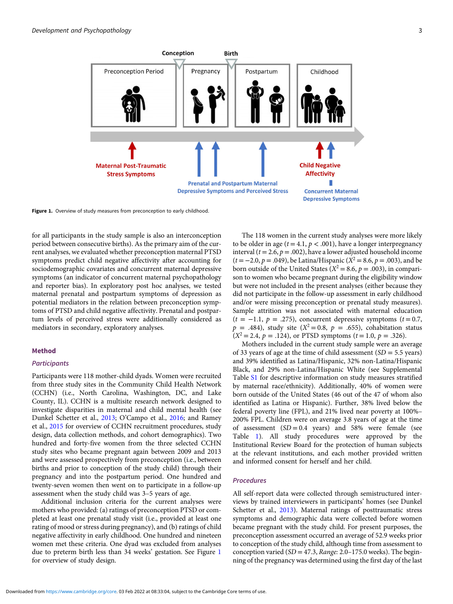

Figure 1. Overview of study measures from preconception to early childhood.

for all participants in the study sample is also an interconception period between consecutive births). As the primary aim of the current analyses, we evaluated whether preconception maternal PTSD symptoms predict child negative affectivity after accounting for sociodemographic covariates and concurrent maternal depressive symptoms (an indicator of concurrent maternal psychopathology and reporter bias). In exploratory post hoc analyses, we tested maternal prenatal and postpartum symptoms of depression as potential mediators in the relation between preconception symptoms of PTSD and child negative affectivity. Prenatal and postpartum levels of perceived stress were additionally considered as mediators in secondary, exploratory analyses.

#### Method

#### **Participants**

Participants were 118 mother-child dyads. Women were recruited from three study sites in the Community Child Health Network (CCHN) (i.e., North Carolina, Washington, DC, and Lake County, IL). CCHN is a multisite research network designed to investigate disparities in maternal and child mental health (see Dunkel Schetter et al., [2013](#page-8-0); O'Campo et al., [2016](#page-9-0); and Ramey et al., [2015](#page-9-0) for overview of CCHN recruitment procedures, study design, data collection methods, and cohort demographics). Two hundred and forty-five women from the three selected CCHN study sites who became pregnant again between 2009 and 2013 and were assessed prospectively from preconception (i.e., between births and prior to conception of the study child) through their pregnancy and into the postpartum period. One hundred and twenty-seven women then went on to participate in a follow-up assessment when the study child was 3–5 years of age.

Additional inclusion criteria for the current analyses were mothers who provided: (a) ratings of preconception PTSD or completed at least one prenatal study visit (i.e., provided at least one rating of mood or stress during pregnancy), and (b) ratings of child negative affectivity in early childhood. One hundred and nineteen women met these criteria. One dyad was excluded from analyses due to preterm birth less than 34 weeks' gestation. See Figure 1 for overview of study design.

The 118 women in the current study analyses were more likely to be older in age ( $t = 4.1$ ,  $p < .001$ ), have a longer interpregnancy interval ( $t = 2.6$ ,  $p = .002$ ), have a lower adjusted household income  $(t = -2.0, p = .049)$ , be Latina/Hispanic  $(X^2 = 8.6, p = .003)$ , and be born outside of the United States ( $X^2 = 8.6$ ,  $p = .003$ ), in comparison to women who became pregnant during the eligibility window but were not included in the present analyses (either because they did not participate in the follow-up assessment in early childhood and/or were missing preconception or prenatal study measures). Sample attrition was not associated with maternal education  $(t = -1.1, p = .275)$ , concurrent depressive symptoms  $(t = 0.7,$  $p = .484$ ), study site ( $X^2 = 0.8$ ,  $p = .655$ ), cohabitation status  $(X^2 = 2.4, p = .124)$ , or PTSD symptoms  $(t = 1.0, p = .326)$ .

Mothers included in the current study sample were an average of 33 years of age at the time of child assessment  $SD = 5.5$  years) and 39% identified as Latina/Hispanic, 32% non-Latina/Hispanic Black, and 29% non-Latina/Hispanic White (see Supplemental Table [S1](https://doi.org/10.1017/S0954579421001760) for descriptive information on study measures stratified by maternal race/ethnicity). Additionally, 40% of women were born outside of the United States (46 out of the 47 of whom also identified as Latina or Hispanic). Further, 38% lived below the federal poverty line (FPL), and 21% lived near poverty at 100%– 200% FPL. Children were on average 3.8 years of age at the time of assessment  $(SD = 0.4$  years) and 58% were female (see Table [1](#page-3-0)). All study procedures were approved by the Institutional Review Board for the protection of human subjects at the relevant institutions, and each mother provided written and informed consent for herself and her child.

#### Procedures

All self-report data were collected through semistructured interviews by trained interviewers in participants' homes (see Dunkel Schetter et al., [2013\)](#page-8-0). Maternal ratings of posttraumatic stress symptoms and demographic data were collected before women became pregnant with the study child. For present purposes, the preconception assessment occurred an average of 52.9 weeks prior to conception of the study child, although time from assessment to conception varied ( $SD = 47.3$ , Range: 2.0–175.0 weeks). The beginning of the pregnancy was determined using the first day of the last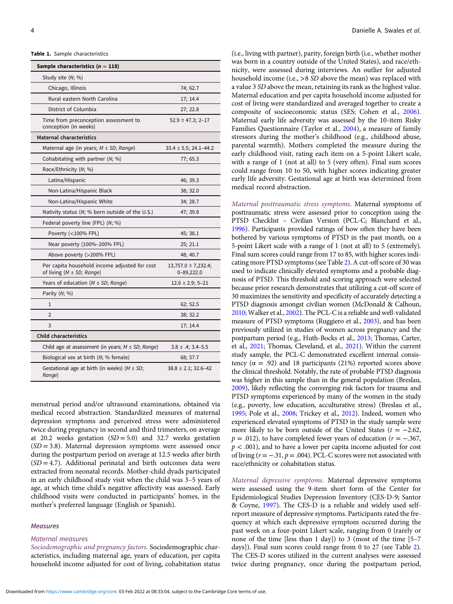<span id="page-3-0"></span>Table 1. Sample characteristics

| Sample characteristics ( $n = 118$ )                                           |                                           |
|--------------------------------------------------------------------------------|-------------------------------------------|
| Study site $(N; \%)$                                                           |                                           |
| Chicago, Illinois                                                              | 74; 62.7                                  |
| Rural eastern North Carolina                                                   | 17; 14.4                                  |
| District of Columbia                                                           | 27; 22.8                                  |
| Time from preconception assessment to<br>conception (in weeks)                 | $52.9 \pm 47.3$ ; 2-17                    |
| <b>Maternal characteristics</b>                                                |                                           |
| Maternal age (in years; $M \pm SD$ ; Range)                                    | $33.4 \pm 5.5$ ; 24.1-44.2                |
| Cohabitating with partner $(N; \%)$                                            | 77; 65.3                                  |
| Race/Ethnicity (N; %)                                                          |                                           |
| Latina/Hispanic                                                                | 46; 39.3                                  |
| Non-Latina/Hispanic Black                                                      | 38; 32.0                                  |
| Non-Latina/Hispanic White                                                      | 34; 28.7                                  |
| Nativity status $(N; %$ born outside of the U.S.)                              | 47; 39.8                                  |
| Federal poverty line (FPL) $(N; \%)$                                           |                                           |
| Poverty (<100% FPL)                                                            | 45; 38.1                                  |
| Near poverty (100%–200% FPL)                                                   | 25; 21.1                                  |
| Above poverty (>200% FPL)                                                      | 48; 40.7                                  |
| Per capita household income adjusted for cost<br>of living $(M \pm SD; Range)$ | $13,757.0 \pm 7,232.4;$<br>$0 - 89,222.0$ |
| Years of education ( $M \pm SD$ ; Range)                                       | $12.6 \pm 2.9; 5 - 21$                    |
| Parity $(N; \%)$                                                               |                                           |
| 1                                                                              | 62; 52.5                                  |
| 2                                                                              | 38; 32.2                                  |
| 3                                                                              | 17; 14.4                                  |
| <b>Child characteristics</b>                                                   |                                           |
| Child age at assessment (in years; $M \pm SD$ ; Range)                         | $3.8 \pm .4$ ; 3.4–5.5                    |
| Biological sex at birth $(N; \%$ female)                                       | 68; 57.7                                  |
| Gestational age at birth (in weeks) ( $M \pm SD$ ;<br>Range)                   | $38.8 \pm 2.1$ ; 32.6–42                  |

menstrual period and/or ultrasound examinations, obtained via medical record abstraction. Standardized measures of maternal depression symptoms and perceived stress were administered twice during pregnancy in second and third trimesters, on average at 20.2 weeks gestation  $(SD = 5.0)$  and 32.7 weeks gestation  $(SD = 3.8)$ . Maternal depression symptoms were assessed once during the postpartum period on average at 12.5 weeks after birth  $(SD = 4.7)$ . Additional perinatal and birth outcomes data were extracted from neonatal records. Mother-child dyads participated in an early childhood study visit when the child was 3–5 years of age, at which time child's negative affectivity was assessed. Early childhood visits were conducted in participants' homes, in the mother's preferred language (English or Spanish).

# Measures

#### Maternal measures

Sociodemographic and pregnancy factors. Sociodemographic characteristics, including maternal age, years of education, per capita household income adjusted for cost of living, cohabitation status (i.e., living with partner), parity, foreign birth (i.e., whether mother was born in a country outside of the United States), and race/ethnicity, were assessed during interviews. An outlier for adjusted household income (i.e., >8 SD above the mean) was replaced with a value 3 SD above the mean, retaining its rank as the highest value. Maternal education and per capita household income adjusted for cost of living were standardized and averaged together to create a composite of socioeconomic status (SES; Cohen et al., [2006](#page-8-0)). Maternal early life adversity was assessed by the 10-item Risky Families Questionnaire (Taylor et al., [2004\)](#page-10-0), a measure of family stressors during the mother's childhood (e.g., childhood abuse, parental warmth). Mothers completed the measure during the early childhood visit, rating each item on a 5-point Likert scale, with a range of 1 (not at all) to 5 (very often). Final sum scores could range from 10 to 50, with higher scores indicating greater early life adversity. Gestational age at birth was determined from medical record abstraction.

Maternal posttraumatic stress symptoms. Maternal symptoms of posttraumatic stress were assessed prior to conception using the PTSD Checklist – Civilian Version (PCL-C; Blanchard et al., [1996](#page-7-0)). Participants provided ratings of how often they have been bothered by various symptoms of PTSD in the past month, on a 5-point Likert scale with a range of 1 (not at all) to 5 (extremely). Final sum scores could range from 17 to 85, with higher scores indicating more PTSD symptoms (see Table [2](#page-4-0)). A cut-off score of 30 was used to indicate clinically elevated symptoms and a probable diagnosis of PTSD. This threshold and scoring approach were selected because prior research demonstrates that utilizing a cut-off score of 30 maximizes the sensitivity and specificity of accurately detecting a PTSD diagnosis amongst civilian women (McDonald & Calhoun, [2010](#page-9-0); Walker et al., [2002\)](#page-10-0). The PCL-C is a reliable and well-validated measure of PTSD symptoms (Ruggiero et al., [2003\)](#page-10-0), and has been previously utilized in studies of women across pregnancy and the postpartum period (e.g., Huth-Bocks et al., [2013](#page-8-0); Thomas, Carter, et al., [2021](#page-10-0); Thomas, Cleveland, et al., [2021](#page-10-0)). Within the current study sample, the PCL-C demonstrated excellent internal consistency ( $\alpha = .92$ ) and 18 participants (21%) reported scores above the clinical threshold. Notably, the rate of probable PTSD diagnosis was higher in this sample than in the general population (Breslau, [2009](#page-8-0)), likely reflecting the converging risk factors for trauma and PTSD symptoms experienced by many of the women in the study (e.g., poverty, low education, acculturative stress) (Breslau et al., [1995](#page-8-0); Pole et al., [2008;](#page-9-0) Trickey et al., [2012](#page-10-0)). Indeed, women who experienced elevated symptoms of PTSD in the study sample were more likely to be born outside of the United States ( $t = -2.62$ ,  $p = .012$ ), to have completed fewer years of education ( $r = -.367$ ,  $p < .001$ ), and to have a lower per capita income adjusted for cost of living ( $r = -.31$ ,  $p = .004$ ). PCL-C scores were not associated with race/ethnicity or cohabitation status.

Maternal depressive symptoms. Maternal depressive symptoms were assessed using the 9-item short form of the Center for Epidemiological Studies Depression Inventory (CES-D-9; Santor & Coyne, [1997\)](#page-10-0). The CES-D is a reliable and widely used selfreport measure of depressive symptoms. Participants rated the frequency at which each depressive symptom occurred during the past week on a four-point Likert scale, ranging from 0 (rarely or none of the time [less than 1 day]) to 3 (most of the time [5–7 days]). Final sum scores could range from 0 to 27 (see Table [2](#page-4-0)). The CES-D scores utilized in the current analyses were assessed twice during pregnancy, once during the postpartum period,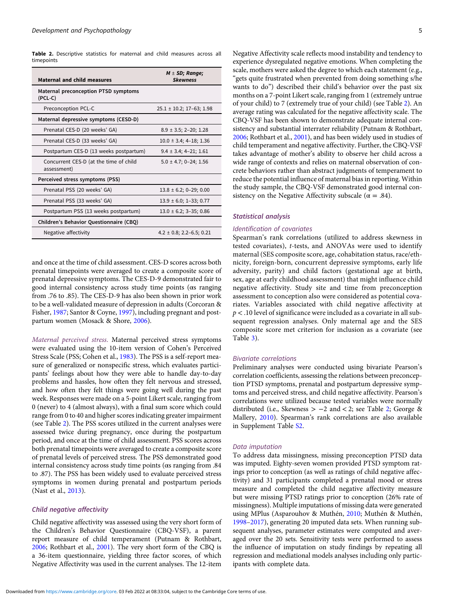<span id="page-4-0"></span>Table 2. Descriptive statistics for maternal and child measures across all timepoints

| <b>Maternal and child measures</b>                    | $M \pm SD$ ; Range;<br><b>Skewness</b> |
|-------------------------------------------------------|----------------------------------------|
| Maternal preconception PTSD symptoms<br>$(PCL-C)$     |                                        |
| Preconception PCL-C                                   | $25.1 \pm 10.2$ ; 17-63; 1.98          |
| Maternal depressive symptoms (CESD-D)                 |                                        |
| Prenatal CES-D (20 weeks' GA)                         | $8.9 \pm 3.5$ ; 2-20; 1.28             |
| Prenatal CES-D (33 weeks' GA)                         | $10.0 \pm 3.4$ ; 4-18; 1.36            |
| Postpartum CES-D (13 weeks postpartum)                | $9.4 \pm 3.4$ ; 4-21; 1.61             |
| Concurrent CES-D (at the time of child<br>assessment) | $5.0 \pm 4.7$ ; 0-24; 1.56             |
| Perceived stress symptoms (PSS)                       |                                        |
| Prenatal PSS (20 weeks' GA)                           | $13.8 \pm 6.2$ ; 0-29; 0.00            |
| Prenatal PSS (33 weeks' GA)                           | $13.9 \pm 6.0$ ; 1-33; 0.77            |
| Postpartum PSS (13 weeks postpartum)                  | $13.0 \pm 6.2$ ; 3-35; 0.86            |
| <b>Children's Behavior Questionnaire (CBQ)</b>        |                                        |
| Negative affectivity                                  | $4.2 \pm 0.8$ ; 2.2-6.5; 0.21          |

and once at the time of child assessment. CES-D scores across both prenatal timepoints were averaged to create a composite score of prenatal depressive symptoms. The CES-D-9 demonstrated fair to good internal consistency across study time points (αs ranging from .76 to .85). The CES-D-9 has also been shown in prior work to be a well-validated measure of depression in adults (Corcoran & Fisher, [1987;](#page-8-0) Santor & Coyne, [1997](#page-10-0)), including pregnant and postpartum women (Mosack & Shore, [2006\)](#page-9-0).

Maternal perceived stress. Maternal perceived stress symptoms were evaluated using the 10-item version of Cohen's Perceived Stress Scale (PSS; Cohen et al., [1983](#page-8-0)). The PSS is a self-report measure of generalized or nonspecific stress, which evaluates participants' feelings about how they were able to handle day-to-day problems and hassles, how often they felt nervous and stressed, and how often they felt things were going well during the past week. Responses were made on a 5-point Likert scale, ranging from 0 (never) to 4 (almost always), with a final sum score which could range from 0 to 40 and higher scores indicating greater impairment (see Table 2). The PSS scores utilized in the current analyses were assessed twice during pregnancy, once during the postpartum period, and once at the time of child assessment. PSS scores across both prenatal timepoints were averaged to create a composite score of prenatal levels of perceived stress. The PSS demonstrated good internal consistency across study time points (αs ranging from .84 to .87). The PSS has been widely used to evaluate perceived stress symptoms in women during prenatal and postpartum periods (Nast et al., [2013](#page-9-0)).

#### Child negative affectivity

Child negative affectivity was assessed using the very short form of the Children's Behavior Questionnaire (CBQ-VSF), a parent report measure of child temperament (Putnam & Rothbart, [2006](#page-9-0); Rothbart et al., [2001](#page-9-0)). The very short form of the CBQ is a 36-item questionnaire, yielding three factor scores, of which Negative Affectivity was used in the current analyses. The 12-item

Negative Affectivity scale reflects mood instability and tendency to experience dysregulated negative emotions. When completing the scale, mothers were asked the degree to which each statement (e.g., "gets quite frustrated when prevented from doing something s/he wants to do") described their child's behavior over the past six months on a 7-point Likert scale, ranging from 1 (extremely untrue of your child) to 7 (extremely true of your child) (see Table 2). An average rating was calculated for the negative affectivity scale. The CBQ-VSF has been shown to demonstrate adequate internal consistency and substantial interrater reliability (Putnam & Rothbart, [2006](#page-9-0); Rothbart et al., [2001](#page-9-0)), and has been widely used in studies of child temperament and negative affectivity. Further, the CBQ-VSF takes advantage of mother's ability to observe her child across a wide range of contexts and relies on maternal observation of concrete behaviors rather than abstract judgments of temperament to reduce the potential influence of maternal bias in reporting. Within the study sample, the CBQ-VSF demonstrated good internal consistency on the Negative Affectivity subscale ( $\alpha = .84$ ).

#### Statistical analysis

#### Identification of covariates

Spearman's rank correlations (utilized to address skewness in tested covariates), t-tests, and ANOVAs were used to identify maternal (SES composite score, age, cohabitation status, race/ethnicity, foreign-born, concurrent depressive symptoms, early life adversity, parity) and child factors (gestational age at birth, sex, age at early childhood assessment) that might influence child negative affectivity. Study site and time from preconception assessment to conception also were considered as potential covariates. Variables associated with child negative affectivity at  $p < 0.10$  level of significance were included as a covariate in all subsequent regression analyses. Only maternal age and the SES composite score met criterion for inclusion as a covariate (see Table [3](#page-5-0)).

#### Bivariate correlations

Preliminary analyses were conducted using bivariate Pearson's correlation coefficients, assessing the relations between preconception PTSD symptoms, prenatal and postpartum depressive symptoms and perceived stress, and child negative affectivity. Pearson's correlations were utilized because tested variables were normally distributed (i.e., Skewness >  $-2$  and < 2; see Table 2; George & Mallery, [2010\)](#page-8-0). Spearman's rank correlations are also available in Supplement Table [S2.](https://doi.org/10.1017/S0954579421001760)

#### Data imputation

To address data missingness, missing preconception PTSD data was imputed. Eighty-seven women provided PTSD symptom ratings prior to conception (as well as ratings of child negative affectivity) and 31 participants completed a prenatal mood or stress measure and completed the child negative affectivity measure but were missing PTSD ratings prior to conception (26% rate of missingness). Multiple imputations of missing data were generated using MPlus (Asparouhov & Muthén, [2010;](#page-7-0) Muthén & Muthén, [1998](#page-9-0)–[2017](#page-9-0)), generating 20 imputed data sets. When running subsequent analyses, parameter estimates were computed and averaged over the 20 sets. Sensitivity tests were performed to assess the influence of imputation on study findings by repeating all regression and mediational models analyses including only participants with complete data.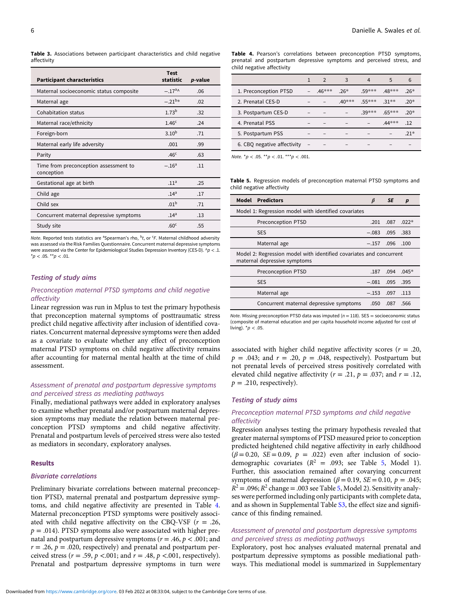<span id="page-5-0"></span>Table 3. Associations between participant characteristics and child negative affectivity

| <b>Participant characteristics</b>                  | <b>Test</b><br>statistic | <i>p</i> -value |
|-----------------------------------------------------|--------------------------|-----------------|
| Maternal socioeconomic status composite             | $-.17a^{0}$              | .06             |
| Maternal age                                        | $-.21^{b*}$              | .02             |
| Cohabitation status                                 | $1.73^{b}$               | .32             |
| Maternal race/ethnicity                             | 1.46 <sup>c</sup>        | .24             |
| Foreign-born                                        | $3.10^{b}$               | .71             |
| Maternal early life adversity                       | .001                     | .99             |
| Parity                                              | .46 <sup>c</sup>         | .63             |
| Time from preconception assessment to<br>conception | $-.16a$                  | .11             |
| Gestational age at birth                            | .11 <sup>a</sup>         | .25             |
| Child age                                           | .14 <sup>a</sup>         | .17             |
| Child sex                                           | .01 <sup>b</sup>         | .71             |
| Concurrent maternal depressive symptoms             | .14 <sup>a</sup>         | .13             |
| Study site                                          | .60 <sup>c</sup>         | .55             |

Note. Reported tests statistics are <sup>a</sup>Spearman's rho, <sup>b</sup>t, or <sup>c</sup>F. Maternal childhood adversity was assessed via the Risk Families Questionnaire. Concurrent maternal depressive symptoms were assessed via the Center for Epidemiological Studies Depression Inventory (CES-D).  $^{h}p < .1$ .  $**p* < .05.$   $**p* < .01.$ 

#### Testing of study aims

#### Preconception maternal PTSD symptoms and child negative affectivity

Linear regression was run in Mplus to test the primary hypothesis that preconception maternal symptoms of posttraumatic stress predict child negative affectivity after inclusion of identified covariates. Concurrent maternal depressive symptoms were then added as a covariate to evaluate whether any effect of preconception maternal PTSD symptoms on child negative affectivity remains after accounting for maternal mental health at the time of child assessment.

## Assessment of prenatal and postpartum depressive symptoms and perceived stress as mediating pathways

Finally, mediational pathways were added in exploratory analyses to examine whether prenatal and/or postpartum maternal depression symptoms may mediate the relation between maternal preconception PTSD symptoms and child negative affectivity. Prenatal and postpartum levels of perceived stress were also tested as mediators in secondary, exploratory analyses.

# Results

#### Bivariate correlations

Preliminary bivariate correlations between maternal preconception PTSD, maternal prenatal and postpartum depressive symptoms, and child negative affectivity are presented in Table 4. Maternal preconception PTSD symptoms were positively associated with child negative affectivity on the CBQ-VSF ( $r = .26$ ,  $p = .014$ ). PTSD symptoms also were associated with higher prenatal and postpartum depressive symptoms ( $r = .46$ ,  $p < .001$ ; and  $r = .26$ ,  $p = .020$ , respectively) and prenatal and postpartum perceived stress ( $r = .59$ ,  $p < .001$ ; and  $r = .48$ ,  $p < .001$ , respectively). Prenatal and postpartum depressive symptoms in turn were

Table 4. Pearson's correlations between preconception PTSD symptoms, prenatal and postpartum depressive symptoms and perceived stress, and child negative affectivity

|                             | $\mathcal{P}$ | 3        | $\overline{a}$ | 5        | 6      |  |
|-----------------------------|---------------|----------|----------------|----------|--------|--|
| 1. Preconception PTSD       | $.46***$      | $.26*$   | $59***$        | 48***    | $.26*$ |  |
| 2. Prenatal CES-D           |               | $.40***$ | $.55***$       | $31**$   | $.20*$ |  |
| 3. Postpartum CES-D         |               |          | $39***$        | $.65***$ | $.20*$ |  |
| 4. Prenatal PSS             |               |          |                | .44 ***  | .12    |  |
| 5. Postpartum PSS           |               |          |                |          | $.21*$ |  |
| 6. CBQ negative affectivity |               |          |                |          |        |  |
|                             |               |          |                |          |        |  |

Note.  $* p < .05.$   $* p < .01.$   $* * p < .001.$ 

Table 5. Regression models of preconception maternal PTSD symptoms and child negative affectivity

| <b>Predictors</b><br>Model                                                                          | B       | <b>SE</b> | p       |  |  |
|-----------------------------------------------------------------------------------------------------|---------|-----------|---------|--|--|
| Model 1: Regression model with identified covariates                                                |         |           |         |  |  |
| Preconception PTSD                                                                                  | .201    | .087      | $.022*$ |  |  |
| <b>SES</b>                                                                                          | $-.083$ | .095      | .383    |  |  |
| Maternal age                                                                                        | $-.157$ | .096      | .100    |  |  |
| Model 2: Regression model with identified covariates and concurrent<br>maternal depressive symptoms |         |           |         |  |  |
| <b>Preconception PTSD</b>                                                                           | .187    | .094      | $.045*$ |  |  |
| <b>SES</b>                                                                                          | $-.081$ | .095      | .395    |  |  |
| Maternal age                                                                                        | $-.153$ | .097      | .113    |  |  |
| Concurrent maternal depressive symptoms                                                             | .050    | .087      | .566    |  |  |

Note. Missing preconception PTSD data was imputed ( $n = 118$ ). SES = socioeconomic status (composite of maternal education and per capita household income adjusted for cost of living).  $p < .05$ .

associated with higher child negative affectivity scores ( $r = .20$ ,  $p = .043$ ; and  $r = .20$ ,  $p = .048$ , respectively). Postpartum but not prenatal levels of perceived stress positively correlated with elevated child negative affectivity ( $r = .21$ ,  $p = .037$ ; and  $r = .12$ ,  $p = .210$ , respectively).

#### Testing of study aims

# Preconception maternal PTSD symptoms and child negative affectivity

Regression analyses testing the primary hypothesis revealed that greater maternal symptoms of PTSD measured prior to conception predicted heightened child negative affectivity in early childhood  $(\beta = 0.20, \text{ } SE = 0.09, \text{ } p = .022)$  even after inclusion of sociodemographic covariates ( $R^2$  = .093; see Table 5, Model 1). Further, this association remained after covarying concurrent symptoms of maternal depression ( $\beta$  = 0.19, SE = 0.10,  $p$  = .045;  $R^2 = .096$ ;  $R^2$  change = .003 see Table 5, Model 2). Sensitivity analyses were performed including only participants with complete data, and as shown in Supplemental Table [S3,](https://doi.org/10.1017/S0954579421001760) the effect size and significance of this finding remained.

# Assessment of prenatal and postpartum depressive symptoms and perceived stress as mediating pathways

Exploratory, post hoc analyses evaluated maternal prenatal and postpartum depressive symptoms as possible mediational pathways. This mediational model is summarized in Supplementary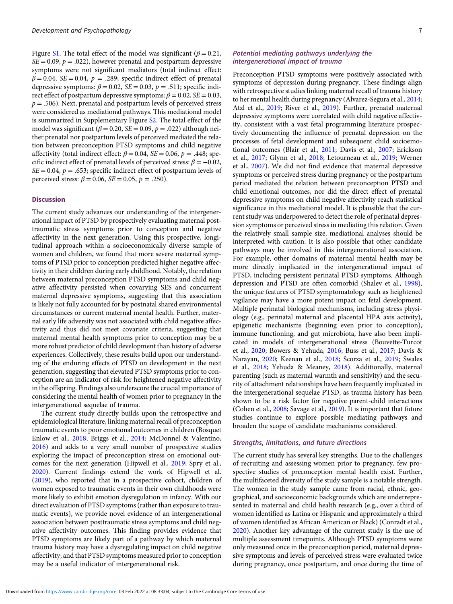Figure [S1](https://doi.org/10.1017/S0954579421001760). The total effect of the model was significant ( $\beta$  = 0.21,  $SE = 0.09$ ,  $p = .022$ ), however prenatal and postpartum depressive symptoms were not significant mediators (total indirect effect:  $\beta = 0.04$ ,  $SE = 0.04$ ,  $p = .289$ ; specific indirect effect of prenatal depressive symptoms:  $\beta = 0.02$ ,  $SE = 0.03$ ,  $p = .511$ ; specific indirect effect of postpartum depressive symptoms:  $\beta = 0.02$ ,  $SE = 0.03$ ,  $p = .506$ ). Next, prenatal and postpartum levels of perceived stress were considered as mediational pathways. This mediational model is summarized in Supplementary Figure [S2](https://doi.org/10.1017/S0954579421001760). The total effect of the model was significant ( $\beta$  = 0.20, SE = 0.09, p = .022) although neither prenatal nor postpartum levels of perceived mediated the relation between preconception PTSD symptoms and child negative affectivity (total indirect effect:  $\beta = 0.04$ ,  $SE = 0.06$ ,  $p = .448$ ; specific indirect effect of prenatal levels of perceived stress:  $\beta = -0.02$ ,  $SE = 0.04$ ,  $p = .653$ ; specific indirect effect of postpartum levels of perceived stress:  $β = 0.06$ ,  $SE = 0.05$ ,  $p = .250$ ).

#### **Discussion**

The current study advances our understanding of the intergenerational impact of PTSD by prospectively evaluating maternal posttraumatic stress symptoms prior to conception and negative affectivity in the next generation. Using this prospective, longitudinal approach within a socioeconomically diverse sample of women and children, we found that more severe maternal symptoms of PTSD prior to conception predicted higher negative affectivity in their children during early childhood. Notably, the relation between maternal preconception PTSD symptoms and child negative affectivity persisted when covarying SES and concurrent maternal depressive symptoms, suggesting that this association is likely not fully accounted for by postnatal shared environmental circumstances or current maternal mental health. Further, maternal early life adversity was not associated with child negative affectivity and thus did not meet covariate criteria, suggesting that maternal mental health symptoms prior to conception may be a more robust predictor of child development than history of adverse experiences. Collectively, these results build upon our understanding of the enduring effects of PTSD on development in the next generation, suggesting that elevated PTSD symptoms prior to conception are an indicator of risk for heightened negative affectivity in the offspring. Findings also underscore the crucial importance of considering the mental health of women prior to pregnancy in the intergenerational sequelae of trauma.

The current study directly builds upon the retrospective and epidemiological literature, linking maternal recall of preconception traumatic events to poor emotional outcomes in children (Bosquet Enlow et al., [2018](#page-8-0); Briggs et al., [2014](#page-8-0); McDonnel & Valentino, [2016](#page-9-0)) and adds to a very small number of prospective studies exploring the impact of preconception stress on emotional outcomes for the next generation (Hipwell et al., [2019](#page-8-0); Spry et al., [2020](#page-10-0)). Current findings extend the work of Hipwell et al. [\(2019](#page-8-0)), who reported that in a prospective cohort, children of women exposed to traumatic events in their own childhoods were more likely to exhibit emotion dysregulation in infancy. With our direct evaluation of PTSD symptoms (rather than exposure to traumatic events), we provide novel evidence of an intergenerational association between posttraumatic stress symptoms and child negative affectivity outcomes. This finding provides evidence that PTSD symptoms are likely part of a pathway by which maternal trauma history may have a dysregulating impact on child negative affectivity; and that PTSD symptoms measured prior to conception may be a useful indicator of intergenerational risk.

# Potential mediating pathways underlying the intergenerational impact of trauma

Preconception PTSD symptoms were positively associated with symptoms of depression during pregnancy. These findings align with retrospective studies linking maternal recall of trauma history to her mental health during pregnancy (Alvarez-Segura et al., [2014;](#page-7-0) Atzl et al., [2019](#page-7-0); River et al., [2019](#page-9-0)). Further, prenatal maternal depressive symptoms were correlated with child negative affectivity, consistent with a vast fetal programming literature prospectively documenting the influence of prenatal depression on the processes of fetal development and subsequent child socioemotional outcomes (Blair et al., [2011;](#page-7-0) Davis et al., [2007;](#page-8-0) Erickson et al., [2017;](#page-8-0) Glynn et al., [2018;](#page-8-0) Letourneau et al., [2019](#page-9-0); Werner et al., [2007](#page-10-0)). We did not find evidence that maternal depressive symptoms or perceived stress during pregnancy or the postpartum period mediated the relation between preconception PTSD and child emotional outcomes, nor did the direct effect of prenatal depressive symptoms on child negative affectivity reach statistical significance in this mediational model. It is plausible that the current study was underpowered to detect the role of perinatal depression symptoms or perceived stress in mediating this relation. Given the relatively small sample size, mediational analyses should be interpreted with caution. It is also possible that other candidate pathways may be involved in this intergenerational association. For example, other domains of maternal mental health may be more directly implicated in the intergenerational impact of PTSD, including persistent perinatal PTSD symptoms. Although depression and PTSD are often comorbid (Shalev et al., [1998\)](#page-10-0), the unique features of PTSD symptomatology such as heightened vigilance may have a more potent impact on fetal development. Multiple perinatal biological mechanisms, including stress physiology (e.g., perinatal maternal and placental HPA axis activity), epigenetic mechanisms (beginning even prior to conception), immune functioning, and gut microbiota, have also been implicated in models of intergenerational stress (Bouvette-Turcot et al., [2020;](#page-8-0) Bowers & Yehuda, [2016;](#page-8-0) Buss et al., [2017;](#page-8-0) Davis & Narayan, [2020;](#page-8-0) Keenan et al., [2018](#page-9-0); Scorza et al., [2019](#page-10-0); Swales et al., [2018;](#page-10-0) Yehuda & Meaney, [2018](#page-10-0)). Additionally, maternal parenting (such as maternal warmth and sensitivity) and the security of attachment relationships have been frequently implicated in the intergenerational sequelae PTSD, as trauma history has been shown to be a risk factor for negative parent-child interactions (Cohen et al., [2008](#page-8-0); Savage et al., [2019\)](#page-10-0). It is important that future studies continue to explore possible mediating pathways and broaden the scope of candidate mechanisms considered.

#### Strengths, limitations, and future directions

The current study has several key strengths. Due to the challenges of recruiting and assessing women prior to pregnancy, few prospective studies of preconception mental health exist. Further, the multifaceted diversity of the study sample is a notable strength. The women in the study sample came from racial, ethnic, geographical, and socioeconomic backgrounds which are underrepresented in maternal and child health research (e.g., over a third of women identified as Latina or Hispanic and approximately a third of women identified as African American or Black) (Conradt et al., [2020](#page-8-0)). Another key advantage of the current study is the use of multiple assessment timepoints. Although PTSD symptoms were only measured once in the preconception period, maternal depressive symptoms and levels of perceived stress were evaluated twice during pregnancy, once postpartum, and once during the time of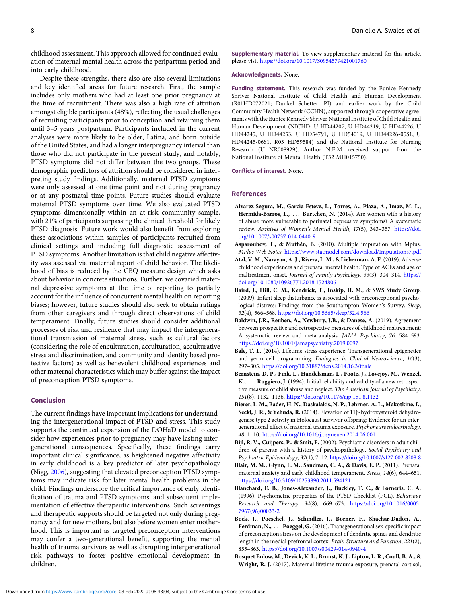<span id="page-7-0"></span>childhood assessment. This approach allowed for continued evaluation of maternal mental health across the peripartum period and into early childhood.

Despite these strengths, there also are also several limitations and key identified areas for future research. First, the sample includes only mothers who had at least one prior pregnancy at the time of recruitment. There was also a high rate of attrition amongst eligible participants (48%), reflecting the usual challenges of recruiting participants prior to conception and retaining them until 3–5 years postpartum. Participants included in the current analyses were more likely to be older, Latina, and born outside of the United States, and had a longer interpregnancy interval than those who did not participate in the present study, and notably, PTSD symptoms did not differ between the two groups. These demographic predictors of attrition should be considered in interpreting study findings. Additionally, maternal PTSD symptoms were only assessed at one time point and not during pregnancy or at any postnatal time points. Future studies should evaluate maternal PTSD symptoms over time. We also evaluated PTSD symptoms dimensionally within an at-risk community sample, with 21% of participants surpassing the clinical threshold for likely PTSD diagnosis. Future work would also benefit from exploring these associations within samples of participants recruited from clinical settings and including full diagnostic assessment of PTSD symptoms. Another limitation is that child negative affectivity was assessed via maternal report of child behavior. The likelihood of bias is reduced by the CBQ measure design which asks about behavior in concrete situations. Further, we covaried maternal depressive symptoms at the time of reporting to partially account for the influence of concurrent mental health on reporting biases; however, future studies should also seek to obtain ratings from other caregivers and through direct observations of child temperament. Finally, future studies should consider additional processes of risk and resilience that may impact the intergenerational transmission of maternal stress, such as cultural factors (considering the role of enculturation, acculturation, acculturative stress and discrimination, and community and identity based protective factors) as well as benevolent childhood experiences and other maternal characteristics which may buffer against the impact of preconception PTSD symptoms.

# Conclusion

The current findings have important implications for understanding the intergenerational impact of PTSD and stress. This study supports the continued expansion of the DOHaD model to consider how experiences prior to pregnancy may have lasting intergenerational consequences. Specifically, these findings carry important clinical significance, as heightened negative affectivity in early childhood is a key predictor of later psychopathology (Nigg, [2006\)](#page-9-0), suggesting that elevated preconception PTSD symptoms may indicate risk for later mental health problems in the child. Findings underscore the critical importance of early identification of trauma and PTSD symptoms, and subsequent implementation of effective therapeutic interventions. Such screenings and therapeutic supports should be targeted not only during pregnancy and for new mothers, but also before women enter motherhood. This is important as targeted preconception interventions may confer a two-generational benefit, supporting the mental health of trauma survivors as well as disrupting intergenerational risk pathways to foster positive emotional development in children.

Supplementary material. To view supplementary material for this article, please visit <https://doi.org/10.1017/S0954579421001760>

#### Acknowledgments. None.

Funding statement. This research was funded by the Eunice Kennedy Shriver National Institute of Child Health and Human Development (R01HD072021; Dunkel Schetter, PI) and earlier work by the Child Community Health Network (CCHN), supported through cooperative agreements with the Eunice Kennedy Shriver National Institute of Child Health and Human Development (NICHD; U HD44207, U HD44219, U HD44226, U HD44245, U HD44253, U HD54791, U HD54019, U HD44226-05S1, U HD44245-06S1, R03 HD59584) and the National Institute for Nursing Research (U NR008929). Author N.E.M. received support from the National Institute of Mental Health (T32 MH015750).

#### Conflicts of interest. None.

#### References

- Alvarez-Segura, M., Garcia-Esteve, L., Torres, A., Plaza, A., Imaz, M. L., Hermida-Barros, L., ... Burtchen, N. (2014). Are women with a history of abuse more vulnerable to perinatal depressive symptoms? A systematic review. Archives of Women's Mental Health, 17(5), 343–357. [https://doi.](https://doi.org/10.1007/s00737-014-0440-9) [org/10.1007/s00737-014-0440-9](https://doi.org/10.1007/s00737-014-0440-9)
- Asparouhov, T., & Muthén, B. (2010). Multiple imputation with Mplus. MPlus Web Notes. <https://www.statmodel.com/download/Imputations7.pdf>
- Atzl, V. M., Narayan, A. J., Rivera, L. M., & Lieberman, A. F.(2019). Adverse childhood experiences and prenatal mental health: Type of ACEs and age of maltreatment onset. Journal of Family Psychology, 33(3), 304–314. [https://](https://doi.org/10.1080/10926771.2018.1524806) [doi.org/10.1080/10926771.2018.1524806](https://doi.org/10.1080/10926771.2018.1524806)
- Baird, J., Hill, C. M., Kendrick, T., Inskip, H. M., & SWS Study Group. (2009). Infant sleep disturbance is associated with preconceptional psychological distress: Findings from the Southampton Women's Survey. Sleep, 32(4), 566–568. <https://doi.org/10.5665/sleep/32.4.566>
- Baldwin, J.R., Reuben, A., Newbury, J.B., & Danese, A. (2019). Agreement between prospective and retrospective measures of childhood maltreatment: A systematic review and meta-analysis. JAMA Psychiatry, 76, 584–593. <https://doi.org/10.1001/jamapsychiatry.2019.0097>
- Bale, T. L. (2014). Lifetime stress experience: Transgenerational epigenetics and germ cell programming. Dialogues in Clinical Neuroscience, 16(3), 297–305. <https://doi.org/10.31887/dcns.2014.16.3/tbale>
- Bernstein, D. P., Fink, L., Handelsman, L., Foote, J., Lovejoy, M., Wenzel, K., ... Ruggiero, J. (1994). Initial reliability and validity of a new retrospective measure of child abuse and neglect. The American Journal of Psychiatry, 151(8), 1132–1136. <https://doi.org/10.1176/ajp.151.8.1132>
- Bierer, L. M., Bader, H. N., Daskalakis, N. P., Lehrner, A. L., Makotkine, I., Seckl, J. R., & Yehuda, R. (2014). Elevation of 11β-hydroxysteroid dehydrogenase type 2 activity in Holocaust survivor offspring: Evidence for an intergenerational effect of maternal trauma exposure. Psychoneuroendocrinology, 48, 1–10. <https://doi.org/10.1016/j.psyneuen.2014.06.001>
- Bijl, R. V., Cuijpers, P., & Smit, F. (2002). Psychiatric disorders in adult children of parents with a history of psychopathology. Social Psychiatry and Psychiatric Epidemiology, 37(1), 7–12. <https://doi.org/10.1007/s127-002-8208-8>
- Blair, M. M., Glynn, L. M., Sandman, C. A., & Davis, E. P. (2011). Prenatal maternal anxiety and early childhood temperament. Stress, 14(6), 644–651. <https://doi.org/10.3109/10253890.2011.594121>
- Blanchard, E. B., Jones-Alexander, J., Buckley, T. C., & Forneris, C. A. (1996). Psychometric properties of the PTSD Checklist (PCL). Behaviour Research and Therapy, 34(8), 669–673. [https://doi.org/10.1016/0005-](https://doi.org/10.1016/0005-7967(96)00033-2) [7967\(96\)00033-2](https://doi.org/10.1016/0005-7967(96)00033-2)
- Bock, J., Poeschel, J., Schindler, J., Börner, F., Shachar-Dadon, A., Ferdman, N., ... Poeggel, G. (2016). Transgenerational sex-specific impact of preconception stress on the development of dendritic spines and dendritic length in the medial prefrontal cortex. Brain Structure and Function, 221(2), 855–863. <https://doi.org/10.1007/s00429-014-0940-4>
- Bosquet Enlow, M., Devick, K. L., Brunst, K. J., Lipton, L. R., Coull, B. A., & Wright, R. J. (2017). Maternal lifetime trauma exposure, prenatal cortisol,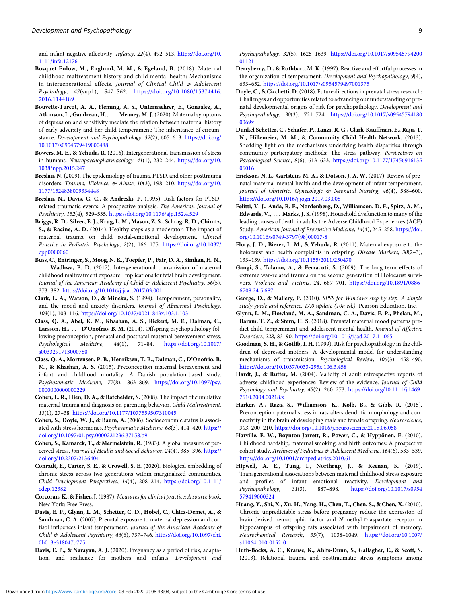<span id="page-8-0"></span>and infant negative affectivity. Infancy, 22(4), 492–513. [https://doi.org/10.](https://doi.org/10.1111/infa.12176) [1111/infa.12176](https://doi.org/10.1111/infa.12176)

- Bosquet Enlow, M., Englund, M. M., & Egeland, B. (2018). Maternal childhood maltreatment history and child mental health: Mechanisms in intergenerational effects. Journal of Clinical Child & Adolescent Psychology, 47(sup1), S47–S62. [https://doi.org/10.1080/15374416.](https://doi.org/10.1080/15374416.2016.1144189) [2016.1144189](https://doi.org/10.1080/15374416.2016.1144189)
- Bouvette-Turcot, A. A., Fleming, A. S., Unternaehrer, E., Gonzalez, A., Atkinson, L., Gaudreau, H., ... Meaney, M. J. (2020). Maternal symptoms of depression and sensitivity mediate the relation between maternal history of early adversity and her child temperament: The inheritance of circumstance. Development and Psychopathology, 32(2), 605–613. [https://doi.org/](https://doi.org/10.1017/s0954579419000488) [10.1017/s0954579419000488](https://doi.org/10.1017/s0954579419000488)
- Bowers, M. E., & Yehuda, R. (2016). Intergenerational transmission of stress in humans. Neuropsychopharmacology, 41(1), 232–244. [https://doi.org/10.](https://doi.org/10.1038/npp.2015.247) [1038/npp.2015.247](https://doi.org/10.1038/npp.2015.247)
- Breslau, N. (2009). The epidemiology of trauma, PTSD, and other posttrauma disorders. Trauma, Violence, & Abuse, 10(3), 198-210. [https://doi.org/10.](https://doi.org/10.1177/1524838009334448) [1177/1524838009334448](https://doi.org/10.1177/1524838009334448)
- Breslau, N., Davis, G. C., & Andreski, P. (1995). Risk factors for PTSDrelated traumatic events: A prospective analysis. The American Journal of Psychiatry, 152(4), 529–535. <https://doi.org/10.1176/ajp.152.4.529>
- Briggs, R. D., Silver, E. J., Krug, L. M., Mason, Z. S., Schrag, R. D., Chinitz, S., & Racine, A. D. (2014). Healthy steps as a moderator: The impact of maternal trauma on child social-emotional development. Clinical Practice in Pediatric Psychology, 2(2), 166–175. [https://doi.org/10.1037/](https://doi.org/10.1037/cpp0000060) [cpp0000060](https://doi.org/10.1037/cpp0000060)
- Buss, C., Entringer, S., Moog, N. K., Toepfer, P., Fair, D. A., Simhan, H. N., ::: Wadhwa, P. D. (2017). Intergenerational transmission of maternal childhood maltreatment exposure: Implications for fetal brain development. Journal of the American Academy of Child & Adolescent Psychiatry, 56(5), 373–382. <https://doi.org/10.1016/j.jaac.2017.03.001>
- Clark, L. A., Watson, D., & Mineka, S. (1994). Temperament, personality, and the mood and anxiety disorders. Journal of Abnormal Psychology, 103(1), 103–116. <https://doi.org/10.1037/0021-843x.103.1.103>
- Class, Q. A., Abel, K. M., Khashan, A. S., Rickert, M. E., Dalman, C., Larsson, H., ... D'Onofrio, B. M. (2014). Offspring psychopathology following preconception, prenatal and postnatal maternal bereavement stress. Psychological Medicine, 44(1), 71–84. [https://doi.org/10.1017/](https://doi.org/10.1017/s0033291713000780) [s0033291713000780](https://doi.org/10.1017/s0033291713000780)
- Class, Q. A., Mortensen, P. B., Henriksen, T. B., Dalman, C., D'Onofrio, B. M., & Khashan, A. S. (2015). Preconception maternal bereavement and infant and childhood mortality: A Danish population-based study. Psychosomatic Medicine, 77(8), 863–869. [https://doi.org/10.1097/psy.](https://doi.org/10.1097/psy.0000000000000229) [0000000000000229](https://doi.org/10.1097/psy.0000000000000229)
- Cohen, L. R., Hien, D. A., & Batchelder, S. (2008). The impact of cumulative maternal trauma and diagnosis on parenting behavior. Child Maltreatment, 13(1), 27–38. <https://doi.org/10.1177/1077559507310045>
- Cohen, S., Doyle, W. J., & Baum, A. (2006). Socioeconomic status is associated with stress hormones. Psychosomatic Medicine, 68(3), 414–420. [https://](https://doi.org/10.1097/01.psy.0000221236.37158.b9) [doi.org/10.1097/01.psy.0000221236.37158.b9](https://doi.org/10.1097/01.psy.0000221236.37158.b9)
- Cohen, S., Kamarck, T., & Mermelstein, R. (1983). A global measure of perceived stress. Journal of Health and Social Behavior, 24(4), 385–396. [https://](https://doi.org/10.2307/2136404) [doi.org/10.2307/2136404](https://doi.org/10.2307/2136404)
- Conradt, E., Carter, S. E., & Crowell, S. E. (2020). Biological embedding of chronic stress across two generations within marginalized communities. Child Development Perspectives, 14(4), 208–214. [https://doi.org/10.1111/](https://doi.org/10.1111/cdep.12382) [cdep.12382](https://doi.org/10.1111/cdep.12382)
- Corcoran, K., & Fisher, J. (1987). Measures for clinical practice: A source book. New York: Free Press.
- Davis, E. P., Glynn, L. M., Schetter, C. D., Hobel, C., Chicz-Demet, A., & Sandman, C. A. (2007). Prenatal exposure to maternal depression and cortisol influences infant temperament. Journal of the American Academy of Child & Adolescent Psychiatry, 46(6), 737–746. [https://doi.org/10.1097/chi.](https://doi.org/10.1097/chi.0b013e318047b775) [0b013e318047b775](https://doi.org/10.1097/chi.0b013e318047b775)
- Davis, E. P., & Narayan, A. J. (2020). Pregnancy as a period of risk, adaptation, and resilience for mothers and infants. Development and

Psychopathology, 32(5), 1625–1639. [https://doi.org/10.1017/s09545794200](https://doi.org/10.1017/s0954579420001121) [01121](https://doi.org/10.1017/s0954579420001121)

- Derryberry, D., & Rothbart, M. K. (1997). Reactive and effortful processes in the organization of temperament. Development and Psychopathology, 9(4), 633–652. <https://doi.org/10.1017/s0954579497001375>
- Doyle, C., & Cicchetti, D. (2018). Future directions in prenatal stress research: Challenges and opportunities related to advancing our understanding of prenatal developmental origins of risk for psychopathology. Development and Psychopathology, 30(3), 721–724. [https://doi.org/10.1017/s09545794180](https://doi.org/10.1017/s095457941800069x) [0069x](https://doi.org/10.1017/s095457941800069x)
- Dunkel Schetter, C., Schafer, P., Lanzi, R. G., Clark-Kauffman, E., Raju, T. N., Hillemeier, M. M., & Community Child Health Network. (2013). Shedding light on the mechanisms underlying health disparities through community participatory methods: The stress pathway. Perspectives on Psychological Science, 8(6), 613–633. [https://doi.org/10.1177/17456916135](https://doi.org/10.1177/1745691613506016) [06016](https://doi.org/10.1177/1745691613506016)
- Erickson, N. L., Gartstein, M. A., & Dotson, J. A. W. (2017). Review of prenatal maternal mental health and the development of infant temperament. Journal of Obstetric, Gynecologic & Neonatal Nursing, 46(4), 588-600. <https://doi.org/10.1016/j.jogn.2017.03.008>
- Felitti, V. J., Anda, R. F., Nordenberg, D., Williamson, D. F., Spitz, A. M., Edwards, V., ... Marks, J. S. (1998). Household dysfunction to many of the leading causes of death in adults the Adverse Childhood Experiences (ACE) Study. American Journal of Preventive Medicine, 14(4), 245–258. [https://doi.](https://doi.org/10.1016/s0749-3797(98)00017-8) [org/10.1016/s0749-3797\(98\)00017-8](https://doi.org/10.1016/s0749-3797(98)00017-8)
- Flory, J. D., Bierer, L. M., & Yehuda, R. (2011). Maternal exposure to the holocaust and health complaints in offspring. Disease Markers, 30(2-3), 133–139. <https://doi.org/10.1155/2011/250470>
- Gangi, S., Talamo, A., & Ferracuti, S. (2009). The long-term effects of extreme war-related trauma on the second generation of Holocaust survivors. Violence and Victims, 24, 687–701. [https://doi.org/10.1891/0886-](https://doi.org/10.1891/0886-6708.24.5.687) [6708.24.5.687](https://doi.org/10.1891/0886-6708.24.5.687)
- George, D., & Mallery, P. (2010). SPSS for Windows step by step. A simple study guide and reference, 17.0 update (10a ed.). Pearson Education, Inc.
- Glynn, L. M., Howland, M. A., Sandman, C. A., Davis, E. P., Phelan, M., Baram, T. Z., & Stern, H. S. (2018). Prenatal maternal mood patterns predict child temperament and adolescent mental health. Journal of Affective Disorders, 228, 83–90. <https://doi.org/10.1016/j.jad.2017.11.065>
- Goodman, S. H., & Gotlib, I. H. (1999). Risk for psychopathology in the children of depressed mothers: A developmental model for understanding mechanisms of transmission. Psychological Review, 106(3), 458–490. <https://doi.org/10.1037/0033-295x.106.3.458>
- Hardt, J., & Rutter, M. (2004). Validity of adult retrospective reports of adverse childhood experiences: Review of the evidence. Journal of Child Psychology and Psychiatry, 45(2), 260–273. [https://doi.org/10.1111/j.1469-](https://doi.org/10.1111/j.1469-7610.2004.00218.x) [7610.2004.00218.x](https://doi.org/10.1111/j.1469-7610.2004.00218.x)
- Harker, A., Raza, S., Williamson, K., Kolb, B., & Gibb, R. (2015). Preconception paternal stress in rats alters dendritic morphology and connectivity in the brain of developing male and female offspring. Neuroscience, 303, 200–210. <https://doi.org/10.1016/j.neuroscience.2015.06.058>
- Harville, E. W., Boynton-Jarrett, R., Power, C., & Hyppönen, E. (2010). Childhood hardship, maternal smoking, and birth outcomes: A prospective cohort study. Archives of Pediatrics & Adolescent Medicine, 164(6), 533-539. <https://doi.org/10.1001/archpediatrics.2010.61>
- Hipwell, A. E., Tung, I., Northrup, J., & Keenan, K. (2019). Transgenerational associations between maternal childhood stress exposure and profiles of infant emotional reactivity. Development and Psychopathology, 31(3), 887–898. [https://doi.org/10.1017/s0954](https://doi.org/10.1017/s0954579419000324) [579419000324](https://doi.org/10.1017/s0954579419000324)
- Huang, Y., Shi, X., Xu, H., Yang, H., Chen, T., Chen, S., & Chen, X. (2010). Chronic unpredictable stress before pregnancy reduce the expression of brain-derived neurotrophic factor and N-methyl-D-aspartate receptor in hippocampus of offspring rats associated with impairment of memory. Neurochemical Research, 35(7), 1038–1049. [https://doi.org/10.1007/](https://doi.org/10.1007/s11064-010-0152-0) [s11064-010-0152-0](https://doi.org/10.1007/s11064-010-0152-0)
- Huth-Bocks, A. C., Krause, K., Ahlfs-Dunn, S., Gallagher, E., & Scott, S. (2013). Relational trauma and posttraumatic stress symptoms among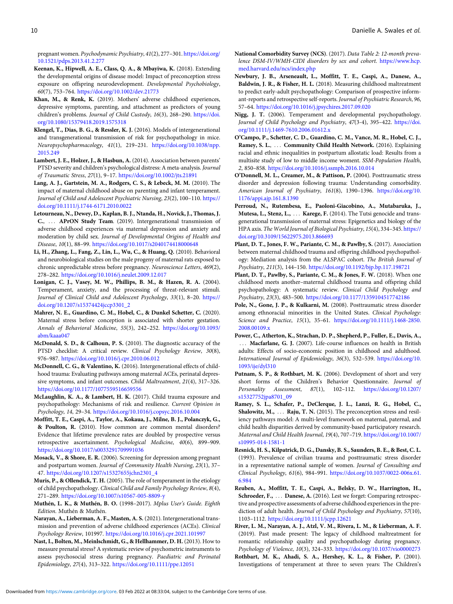<span id="page-9-0"></span>pregnant women. Psychodynamic Psychiatry, 41(2), 277–301. [https://doi.org/](https://doi.org/10.1521/pdps.2013.41.2.277) [10.1521/pdps.2013.41.2.277](https://doi.org/10.1521/pdps.2013.41.2.277)

- Keenan, K., Hipwell, A. E., Class, Q. A., & Mbayiwa, K. (2018). Extending the developmental origins of disease model: Impact of preconception stress exposure on offspring neurodevelopment. Developmental Psychobiology, 60(7), 753–764. <https://doi.org/10.1002/dev.21773>
- Khan, M., & Renk, K. (2019). Mothers' adverse childhood experiences, depressive symptoms, parenting, and attachment as predictors of young children's problems. Journal of Child Custody, 16(3), 268–290. [https://doi.](https://doi.org/10.1080/15379418.2019.1575318) [org/10.1080/15379418.2019.1575318](https://doi.org/10.1080/15379418.2019.1575318)
- Klengel, T., Dias, B. G., & Ressler, K. J. (2016). Models of intergenerational and transgenerational transmission of risk for psychopathology in mice. Neuropsychopharmacology, 41(1), 219–231. [https://doi.org/10.1038/npp.](https://doi.org/10.1038/npp.2015.249) [2015.249](https://doi.org/10.1038/npp.2015.249)
- Lambert, J. E., Holzer, J., & Hasbun, A. (2014). Association between parents' PTSD severity and children's psychological distress: A meta-analysis. Journal of Traumatic Stress, 27(1), 9–17. <https://doi.org/10.1002/jts.21891>
- Lang, A. J., Gartstein, M. A., Rodgers, C. S., & Lebeck, M. M. (2010). The impact of maternal childhood abuse on parenting and infant temperament. Journal of Child and Adolescent Psychiatric Nursing, 23(2), 100-110. [https://](https://doi.org/10.1111/j.1744-6171.2010.0022) [doi.org/10.1111/j.1744-6171.2010.0022](https://doi.org/10.1111/j.1744-6171.2010.0022)
- Letourneau, N., Dewey, D., Kaplan, B. J., Ntanda, H., Novick, J., Thomas, J. C., ... APrON Study Team. (2019). Intergenerational transmission of adverse childhood experiences via maternal depression and anxiety and moderation by child sex. Journal of Developmental Origins of Health and Disease, 10(1), 88–99. <https://doi.org/10.1017/s2040174418000648>
- Li, H., Zhang, L., Fang, Z., Lin, L., Wu, C., & Huang, Q. (2010). Behavioral and neurobiological studies on the male progeny of maternal rats exposed to chronic unpredictable stress before pregnancy. Neuroscience Letters, 469(2), 278–282. <https://doi.org/10.1016/j.neulet.2009.12.017>
- Lonigan, C. J., Vasey, M. W., Phillips, B. M., & Hazen, R. A. (2004). Temperament, anxiety, and the processing of threat-relevant stimuli. Journal of Clinical Child and Adolescent Psychology, 33(1), 8-20. [https://](https://doi.org/10.1207/s15374424jccp3301_2) [doi.org/10.1207/s15374424jccp3301\\_2](https://doi.org/10.1207/s15374424jccp3301_2)
- Mahrer, N. E., Guardino, C. M., Hobel, C., & Dunkel Schetter, C. (2020). Maternal stress before conception is associated with shorter gestation. Annals of Behavioral Medicine, 55(3), 242–252. [https://doi.org/10.1093/](https://doi.org/10.1093/abm/kaaa047) [abm/kaaa047](https://doi.org/10.1093/abm/kaaa047)
- McDonald, S. D., & Calhoun, P. S. (2010). The diagnostic accuracy of the PTSD checklist: A critical review. Clinical Psychology Review, 30(8), 976–987. <https://doi.org/10.1016/j.cpr.2010.06.012>
- McDonnell, C. G., & Valentino, K. (2016). Intergenerational effects of childhood trauma: Evaluating pathways among maternal ACEs, perinatal depressive symptoms, and infant outcomes. Child Maltreatment, 21(4), 317–326. <https://doi.org/10.1177/1077559516659556>
- McLaughlin, K. A., & Lambert, H. K. (2017). Child trauma exposure and psychopathology: Mechanisms of risk and resilience. Current Opinion in Psychology, 14, 29–34. <https://doi.org/10.1016/j.copsyc.2016.10.004>
- Moffitt, T. E., Caspi, A., Taylor, A., Kokaua, J., Milne, B. J., Polanczyk, G., & Poulton, R. (2010). How common are common mental disorders? Evidence that lifetime prevalence rates are doubled by prospective versus retrospective ascertainment. Psychological Medicine, 40(6), 899–909. <https://doi.org/10.1017/s0033291709991036>
- Mosack, V., & Shore, E. R. (2006). Screening for depression among pregnant and postpartum women. Journal of Community Health Nursing, 23(1), 37– 47. [https://doi.org/10.1207/s15327655jchn2301\\_4](https://doi.org/10.1207/s15327655jchn2301_4)
- Muris, P., & Ollendick, T. H. (2005). The role of temperament in the etiology of child psychopathology. Clinical Child and Family Psychology Review, 8(4), 271–289. <https://doi.org/10.1007/s10567-005-8809-y>
- Muthén, L. K., & Muthén, B. O. (1998–2017). Mplus User's Guide. Eighth Edition. Muthén & Muthén.
- Narayan, A., Lieberman, A. F., Masten, A. S. (2021). Intergenerational transmission and prevention of adverse childhood experiences (ACEs). Clinical Psychology Review, 101997. <https://doi.org/10.1016/j.cpr.2021.101997>
- Nast, I., Bolten, M., Meinlschmidt, G., & Hellhammer, D. H. (2013). How to measure prenatal stress? A systematic review of psychometric instruments to assess psychosocial stress during pregnancy. Paediatric and Perinatal Epidemiology, 27(4), 313–322. <https://doi.org/10.1111/ppe.12051>
- National Comorbidity Survey (NCS). (2017). Data Table 2: 12-month prevalence DSM-IV/WMH-CIDI disorders by sex and cohort. [https://www.hcp.](https://www.hcp.med.harvard.edu/ncs/index.php) [med.harvard.edu/ncs/index.php](https://www.hcp.med.harvard.edu/ncs/index.php)
- Newbury, J. B., Arseneault, L., Moffitt, T. E., Caspi, A., Danese, A., Baldwin, J. R., & Fisher, H. L. (2018). Measuring childhood maltreatment to predict early-adult psychopathology: Comparison of prospective informant-reports and retrospective self-reports. Journal of Psychiatric Research, 96, 57–64. <https://doi.org/10.1016/j.jpsychires.2017.09.020>
- Nigg, J. T. (2006). Temperament and developmental psychopathology. Journal of Child Psychology and Psychiatry, 47(3-4), 395-422. [https://doi.](https://doi.org/10.1111/j.1469-7610.2006.01612.x) [org/10.1111/j.1469-7610.2006.01612.x](https://doi.org/10.1111/j.1469-7610.2006.01612.x)
- O'Campo, P., Schetter, C. D., Guardino, C. M., Vance, M. R., Hobel, C. J., Ramey, S. L., ... Community Child Health Network. (2016). Explaining racial and ethnic inequalities in postpartum allostatic load: Results from a multisite study of low to middle income woment. SSM-Population Health, 2, 850–858. <https://doi.org/10.1016/j.ssmph.2016.10.014>
- O'Donnell, M. L., Creamer, M., & Pattison, P. (2004). Posttraumatic stress disorder and depression following trauma: Understanding comorbidity. American Journal of Psychiatry, 161(8), 1390–1396. [https://doi.org/10.](https://doi.org/10.1176/appi.ajp.161.8.1390) [1176/appi.ajp.161.8.1390](https://doi.org/10.1176/appi.ajp.161.8.1390)
- Perroud, N., Rutembesa, E., Paoloni-Giacobino, A., Mutabaruka, J., Mutesa, L., Stenz, L., ... Karege, F. (2014). The Tutsi genocide and transgenerational transmission of maternal stress: Epigenetics and biology of the HPA axis. The World Journal of Biological Psychiatry, 15(4), 334–345. [https://](https://doi.org/10.3109/15622975.2013.866693) [doi.org/10.3109/15622975.2013.866693](https://doi.org/10.3109/15622975.2013.866693)
- Plant, D. T., Jones, F. W., Pariante, C. M., & Pawlby, S. (2017). Association between maternal childhood trauma and offspring childhood psychopathology: Mediation analysis from the ALSPAC cohort. The British Journal of Psychiatry, 211(3), 144–150. <https://doi.org/10.1192/bjp.bp.117.198721>
- Plant, D. T., Pawlby, S., Pariante, C. M., & Jones, F. W. (2018). When one childhood meets another–maternal childhood trauma and offspring child psychopathology: A systematic review. Clinical Child Psychology and Psychiatry, 23(3), 483–500. <https://doi.org/10.1177/1359104517742186>
- Pole, N., Gone, J. P., & Kulkarni, M. (2008). Posttraumatic stress disorder among ethnoracial minorities in the United States. Clinical Psychology: Science and Practice, 15(1), 35–61. [https://doi.org/10.1111/j.1468-2850.](https://doi.org/10.1111/j.1468-2850.2008.00109.x) [2008.00109.x](https://doi.org/10.1111/j.1468-2850.2008.00109.x)
- Power, C., Atherton, K., Strachan, D. P., Shepherd, P., Fuller, E., Davis, A., ... Macfarlane, G. J. (2007). Life-course influences on health in British adults: Effects of socio-economic position in childhood and adulthood. International Journal of Epidemiology, 36(3), 532–539. [https://doi.org/10.](https://doi.org/10.1093/ije/dyl310) [1093/ije/dyl310](https://doi.org/10.1093/ije/dyl310)
- Putnam, S. P., & Rothbart, M. K. (2006). Development of short and very short forms of the Children's Behavior Questionnaire. Journal of Personality Assessment, 87(1), 102–112. [https://doi.org/10.1207/](https://doi.org/10.1207/s15327752jpa8701_09) [s15327752jpa8701\\_09](https://doi.org/10.1207/s15327752jpa8701_09)
- Ramey, S. L., Schafer, P., DeClerque, J. L., Lanzi, R. G., Hobel, C., Shalowitz, M., ... Raju, T. N. (2015). The preconception stress and resiliency pathways model: A multi-level framework on maternal, paternal, and child health disparities derived by community-based participatory research. Maternal and Child Health Journal, 19(4), 707–719. [https://doi.org/10.1007/](https://doi.org/10.1007/s10995-014-1581-1) [s10995-014-1581-1](https://doi.org/10.1007/s10995-014-1581-1)
- Resnick, H. S., Kilpatrick, D. G., Dansky, B. S., Saunders, B. E., & Best, C. L. (1993). Prevalence of civilian trauma and posttraumatic stress disorder in a representative national sample of women. Journal of Consulting and Clinical Psychology, 61(6), 984–991. [https://doi.org/10.1037/0022-006x.61.](https://doi.org/10.1037/0022-006x.61.6.984) [6.984](https://doi.org/10.1037/0022-006x.61.6.984)
- Reuben, A., Moffitt, T. E., Caspi, A., Belsky, D. W., Harrington, H., Schroeder, F., ... Danese, A. (2016). Lest we forget: Comparing retrospective and prospective assessments of adverse childhood experiences in the prediction of adult health. Journal of Child Psychology and Psychiatry, 57(10), 1103–1112. <https://doi.org/10.1111/jcpp.12621>
- River, L. M., Narayan, A. J., Atzl, V. M., Rivera, L. M., & Lieberman, A. F. (2019). Past made present: The legacy of childhood maltreatment for romantic relationship quality and psychopathology during pregnancy. Psychology of Violence, 10(3), 324–333. <https://doi.org/10.1037/vio0000273>
- Rothbart, M. K., Ahadi, S. A., Hershey, K. L., & Fisher, P. (2001). Investigations of temperament at three to seven years: The Children's